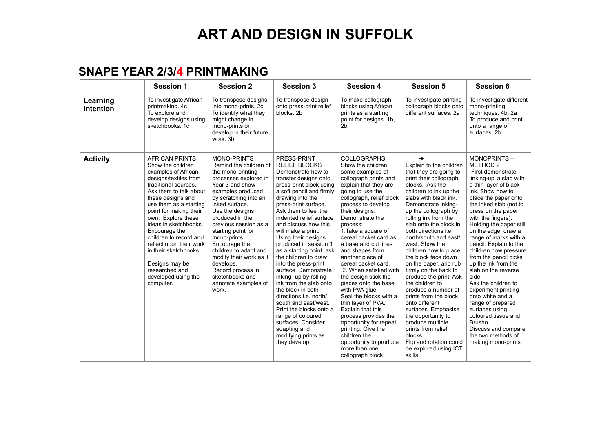#### **SNAPE YEAR 2/3/4 PRINTMAKING**

|                              | <b>Session 1</b>                                                                                                                                                                                                                                                                                                                                                                                                                            | <b>Session 2</b>                                                                                                                                                                                                                                                                                                                                                                                                                              | <b>Session 3</b>                                                                                                                                                                                                                                                                                                                                                                                                                                                                                                                                                                                                                                                                                   | <b>Session 4</b>                                                                                                                                                                                                                                                                                                                                                                                                                                                                                                                                                                                                                                                                                    | <b>Session 5</b>                                                                                                                                                                                                                                                                                                                                                                                                                                                                                                                                                                                                                                                                                                                | <b>Session 6</b>                                                                                                                                                                                                                                                                                                                                                                                                                                                                                                                                                                                                                                          |
|------------------------------|---------------------------------------------------------------------------------------------------------------------------------------------------------------------------------------------------------------------------------------------------------------------------------------------------------------------------------------------------------------------------------------------------------------------------------------------|-----------------------------------------------------------------------------------------------------------------------------------------------------------------------------------------------------------------------------------------------------------------------------------------------------------------------------------------------------------------------------------------------------------------------------------------------|----------------------------------------------------------------------------------------------------------------------------------------------------------------------------------------------------------------------------------------------------------------------------------------------------------------------------------------------------------------------------------------------------------------------------------------------------------------------------------------------------------------------------------------------------------------------------------------------------------------------------------------------------------------------------------------------------|-----------------------------------------------------------------------------------------------------------------------------------------------------------------------------------------------------------------------------------------------------------------------------------------------------------------------------------------------------------------------------------------------------------------------------------------------------------------------------------------------------------------------------------------------------------------------------------------------------------------------------------------------------------------------------------------------------|---------------------------------------------------------------------------------------------------------------------------------------------------------------------------------------------------------------------------------------------------------------------------------------------------------------------------------------------------------------------------------------------------------------------------------------------------------------------------------------------------------------------------------------------------------------------------------------------------------------------------------------------------------------------------------------------------------------------------------|-----------------------------------------------------------------------------------------------------------------------------------------------------------------------------------------------------------------------------------------------------------------------------------------------------------------------------------------------------------------------------------------------------------------------------------------------------------------------------------------------------------------------------------------------------------------------------------------------------------------------------------------------------------|
| Learning<br><b>Intention</b> | To investigate African<br>printmaking. 4c<br>To explore and<br>develop designs using<br>sketchbooks, 1c                                                                                                                                                                                                                                                                                                                                     | To transpose designs<br>into mono-prints. 2c<br>To identify what they<br>might change in<br>mono-prints or<br>develop in their future<br>work. 3b                                                                                                                                                                                                                                                                                             | To transpose design<br>onto press-print relief<br>blocks. 2b                                                                                                                                                                                                                                                                                                                                                                                                                                                                                                                                                                                                                                       | To make collograph<br>blocks using African<br>prints as a starting<br>point for designs. 1b,<br>2 <sub>b</sub>                                                                                                                                                                                                                                                                                                                                                                                                                                                                                                                                                                                      | To investigate printing<br>collograph blocks onto<br>different surfaces. 2a                                                                                                                                                                                                                                                                                                                                                                                                                                                                                                                                                                                                                                                     | To investigate different<br>mono-printing<br>techniques. 4b, 2a<br>To produce and print<br>onto a range of<br>surfaces. 2b                                                                                                                                                                                                                                                                                                                                                                                                                                                                                                                                |
| <b>Activity</b>              | <b>AFRICAN PRINTS</b><br>Show the children<br>examples of African<br>designs/textiles from<br>traditional sources.<br>Ask them to talk about<br>these designs and<br>use them as a starting<br>point for making their<br>own. Explore these<br>ideas in sketchbooks.<br>Encourage the<br>children to record and<br>reflect upon their work<br>in their sketchbooks.<br>Designs may be<br>researched and<br>developed using the<br>computer. | <b>MONO-PRINTS</b><br>Remind the children of<br>the mono-printing<br>processes explored in<br>Year 3 and show<br>examples produced<br>by scratching into an<br>inked surface.<br>Use the designs<br>produced in the<br>previous session as a<br>starting point for<br>mono-prints.<br>Encourage the<br>children to adapt and<br>modify their work as it<br>develops.<br>Record process in<br>sketchbooks and<br>annotate examples of<br>work. | PRESS-PRINT<br><b>RELIEF BLOCKS</b><br>Demonstrate how to<br>transfer designs onto<br>press-print block using<br>a soft pencil and firmly<br>drawing into the<br>press-print surface.<br>Ask them to feel the<br>indented relief surface<br>and discuss how this<br>will make a print.<br>Using their designs<br>produced in session 1<br>as a starting point, ask<br>the children to draw<br>into the press-print<br>surface. Demonstrate<br>inking- up by rolling<br>ink from the slab onto<br>the block in both<br>directions i.e. north/<br>south and east/west.<br>Print the blocks onto a<br>range of coloured<br>surfaces. Consider<br>adapting and<br>modifying prints as<br>they develop. | <b>COLLOGRAPHS</b><br>Show the children<br>some examples of<br>collograph prints and<br>explain that they are<br>going to use the<br>collograph, relief block<br>process to develop<br>their designs.<br>Demonstrate the<br>process:<br>1. Take a square of<br>cereal packet card as<br>a base and cut lines<br>and shapes from<br>another piece of<br>cereal packet card.<br>2. When satisfied with<br>the design stick the<br>pieces onto the base<br>with PVA glue.<br>Seal the blocks with a<br>thin layer of PVA.<br>Explain that this<br>process provides the<br>opportunity for repeat<br>printing. Give the<br>children the<br>opportunity to produce<br>more than one<br>collograph block. | $\rightarrow$<br>Explain to the children<br>that they are going to<br>print their collograph<br>blocks. Ask the<br>children to ink up the<br>slabs with black ink.<br>Demonstrate inking-<br>up the collograph by<br>rolling ink from the<br>slab onto the block in<br>both directions <i>i.e.</i><br>north/south and east/<br>west. Show the<br>children how to place<br>the block face down<br>on the paper, and rub<br>firmly on the back to<br>produce the print. Ask<br>the children to<br>produce a number of<br>prints from the block<br>onto different<br>surfaces. Emphasise<br>the opportunity to<br>produce multiple<br>prints from relief<br>blocks.<br>Flip and rotation could<br>be explored using ICT<br>skills. | MONOPRINTS-<br>METHOD <sub>2</sub><br>First demonstrate<br>'inking-up' a slab with<br>a thin layer of black<br>ink. Show how to<br>place the paper onto<br>the inked slab (not to<br>press on the paper<br>with the fingers).<br>Holding the paper still<br>on the edge, draw a<br>range of marks with a<br>pencil. Explain to the<br>children how pressure<br>from the pencil picks<br>up the ink from the<br>slab on the reverse<br>side.<br>Ask the children to<br>experiment printing<br>onto white and a<br>range of prepared<br>surfaces using<br>coloured tissue and<br>Brusho.<br>Discuss and compare<br>the two methods of<br>making mono-prints |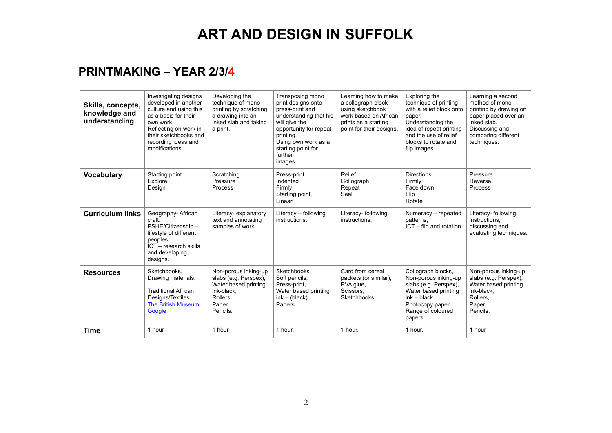### **PRINTMAKING – YEAR 2/3/4**

| Skills, concepts,<br>knowledge and<br>understanding | Investigating designs<br>developed in another<br>culture and using this<br>as a basis for their<br>own work.<br>Reflecting on work in<br>their sketchbooks and<br>recording ideas and<br>modifications. | Developing the<br>technique of mono<br>printing by scratching<br>a drawing into an<br>inked slab and taking<br>a print. | Transposing mono<br>print designs onto<br>press-print and<br>understanding that his<br>will give the<br>opportunity for repeat<br>printing.<br>Using own work as a<br>starting point for<br>further<br>images. | Learning how to make<br>a collograph block<br>using sketchbook<br>work based on African<br>prints as a starting<br>point for their designs. | Exploring the<br>technique of printing<br>with a relief block onto<br>paper.<br>Understanding the<br>idea of repeat printing<br>and the use of relief<br>blocks to rotate and<br>flip images. | Learning a second<br>method of mono<br>printing by drawing on<br>paper placed over an<br>inked slab.<br>Discussing and<br>comparing different<br>techniques. |
|-----------------------------------------------------|---------------------------------------------------------------------------------------------------------------------------------------------------------------------------------------------------------|-------------------------------------------------------------------------------------------------------------------------|----------------------------------------------------------------------------------------------------------------------------------------------------------------------------------------------------------------|---------------------------------------------------------------------------------------------------------------------------------------------|-----------------------------------------------------------------------------------------------------------------------------------------------------------------------------------------------|--------------------------------------------------------------------------------------------------------------------------------------------------------------|
| <b>Vocabulary</b>                                   | Starting point<br>Explore<br>Design                                                                                                                                                                     | Scratching<br>Pressure<br>Process                                                                                       | Press-print<br>Indented<br>Firmly<br>Starting point.<br>Linear                                                                                                                                                 | Relief<br>Collograph<br>Repeat<br>Seal                                                                                                      | <b>Directions</b><br>Firmly<br>Face down<br>Flip<br>Rotate                                                                                                                                    | Pressure<br>Reverse<br>Process                                                                                                                               |
| <b>Curriculum links</b>                             | Geography-African<br>craft.<br>PSHE/Citizenship-<br>lifestyle of different<br>peoples,<br>ICT - research skills<br>and developing<br>designs.                                                           | Literacy- explanatory<br>text and annotating<br>samples of work.                                                        | Literacy - following<br>instructions.                                                                                                                                                                          | Literacy- following<br>instructions.                                                                                                        | Numeracy - repeated<br>patterns.<br>ICT - flip and rotation.                                                                                                                                  | Literacy- following<br>instructions,<br>discussing and<br>evaluating techniques.                                                                             |
| <b>Resources</b>                                    | Sketchbooks.<br>Drawing materials.<br><b>Traditional African</b><br>Designs/Textiles<br><b>The British Museum</b><br>Google                                                                             | Non-porous inking-up<br>slabs (e.g. Perspex),<br>Water based printing<br>ink-black.<br>Rollers.<br>Paper,<br>Pencils.   | Sketchbooks.<br>Soft pencils,<br>Press-print,<br>Water based printing<br>$ink - (black)$<br>Papers.                                                                                                            | Card from cereal<br>packets (or similar).<br>PVA glue,<br>Scissors.<br>Sketchbooks.                                                         | Collograph blocks,<br>Non-porous inking-up<br>slabs (e.g. Perspex),<br>Water based printing<br>$ink - black.$<br>Photocopy paper,<br>Range of coloured<br>papers.                             | Non-porous inking-up<br>slabs (e.g. Perspex).<br>Water based printing<br>ink-black.<br>Rollers.<br>Paper,<br>Pencils.                                        |
| Time                                                | 1 hour                                                                                                                                                                                                  | 1 hour                                                                                                                  | 1 hour.                                                                                                                                                                                                        | 1 hour.                                                                                                                                     | 1 hour.                                                                                                                                                                                       | 1 hour                                                                                                                                                       |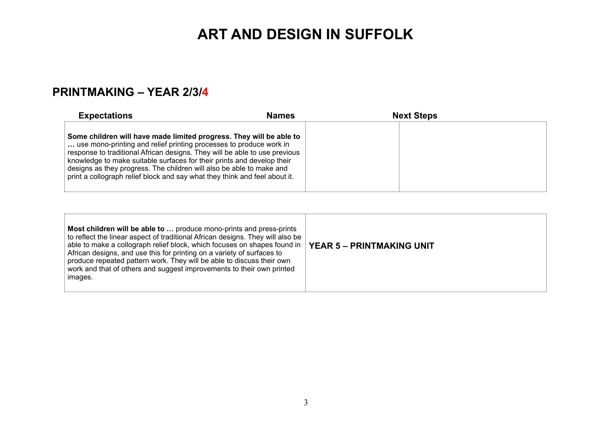### **PRINTMAKING – YEAR 2/3/4**

| <b>Expectations</b>                                                                                                                                                                                                                                                                                                                                                                                                                                     | <b>Names</b> | <b>Next Steps</b> |  |
|---------------------------------------------------------------------------------------------------------------------------------------------------------------------------------------------------------------------------------------------------------------------------------------------------------------------------------------------------------------------------------------------------------------------------------------------------------|--------------|-------------------|--|
| Some children will have made limited progress. They will be able to<br>use mono-printing and relief printing processes to produce work in<br>response to traditional African designs. They will be able to use previous<br>knowledge to make suitable surfaces for their prints and develop their<br>designs as they progress. The children will also be able to make and<br>print a collograph relief block and say what they think and feel about it. |              |                   |  |

| Most children will be able to  produce mono-prints and press-prints<br>to reflect the linear aspect of traditional African designs. They will also be<br>able to make a collograph relief block, which focuses on shapes found in<br>African designs, and use this for printing on a variety of surfaces to<br>produce repeated pattern work. They will be able to discuss their own<br>work and that of others and suggest improvements to their own printed<br>images. | YEAR 5 – PRINTMAKING UNIT |
|--------------------------------------------------------------------------------------------------------------------------------------------------------------------------------------------------------------------------------------------------------------------------------------------------------------------------------------------------------------------------------------------------------------------------------------------------------------------------|---------------------------|
|--------------------------------------------------------------------------------------------------------------------------------------------------------------------------------------------------------------------------------------------------------------------------------------------------------------------------------------------------------------------------------------------------------------------------------------------------------------------------|---------------------------|